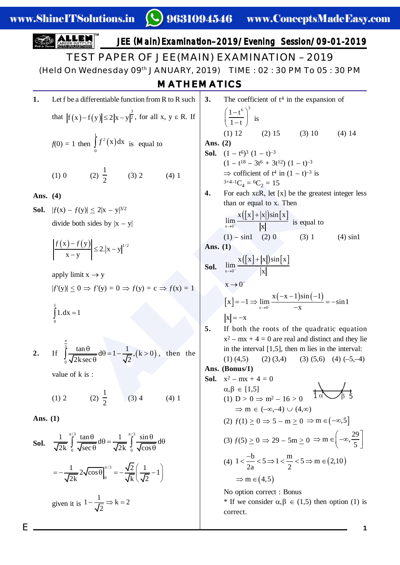**ALLEM**  
\n**TEST PAPER OF JEE (MAN) **ExAMINATION** – 2019  
\n(Held On Wednesday 09<sup>th</sup> JANUARY, 2019) TIME : 02 : 30 PM To 05 : 30 PM  
\n**MATHEMATICS**  
\n1. Let f be a differentiable function from R to R such that  
\n
$$
|f(x)-f(y)| \le 2|x-y|^2
$$
\n
$$
f(0) = 1 \text{ then } \int_{0}^{1} f'(x) dx \text{ is equal to}
$$
\n
$$
f(0) = 2 \int_{0}^{1} f'(x) dx \text{ is equal to}
$$
\n
$$
f(0) = 2 \int_{0}^{1} f'(x) dx \text{ is equal to}
$$
\n
$$
f(0) = 2 \int_{0}^{1} f'(x) dx \text{ is equal to}
$$
\n
$$
f(0) = 2 \int_{0}^{1} f'(x) dx \text{ is equal to}
$$
\n
$$
f(0) = 2 \int_{0}^{1} f'(x) dx \text{ is equal to}
$$
\n
$$
f(0) = 2 \int_{0}^{1} f'(x) dx \text{ is equal to}
$$
\n
$$
f(0) = 2 \int_{0}^{1} f'(x) dx \text{ is equal to}
$$
\n
$$
f(0) = 2 \int_{0}^{1} f'(x) dx \text{ is equal to}
$$
\n
$$
f(0) = 2 \int_{0}^{1} f'(x) dx \text{ is equal to}
$$
\n
$$
f(0) = \frac{1}{2} \int_{0}^{1} f'(x) dx \text{ is equal to}
$$
\n
$$
f(0) = \frac{1}{2} \int_{0}^{1} f'(x) dx \text{ is equal to}
$$
\n
$$
f(0) = \frac{1}{2} \int_{0}^{1} f'(x) dx \text{ is equal to}
$$
\n
$$
f(0) = \frac{1}{2} \int_{0}^{1} f'(x) dx \text{ is equal to}
$$
\n
$$
f(0) = \frac{1}{2} \int_{0}^{1} f'(x) dx \text{ is equal to}
$$
\n
$$
f(0) = \frac{1}{2} \int_{0}^{1} f'(x) dx \text{ is equal to}
$$
\n
$$
f(0) =
$$**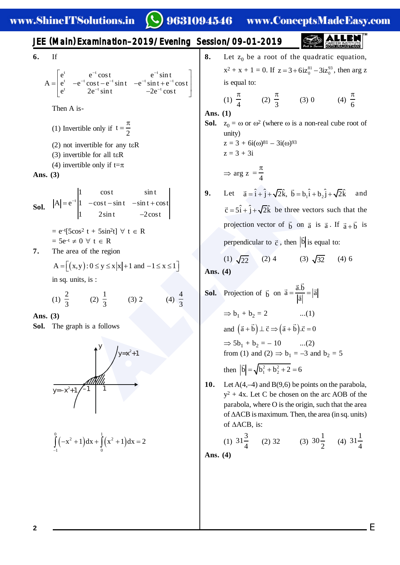9631094546 www.ConceptsMadeEasy.com

**6.** If

$$
A = \begin{bmatrix} e^{t} & e^{-t} \cos t & e^{-t} \sin t \\ e^{t} & -e^{-t} \cos t - e^{-t} \sin t & -e^{-t} \sin t + e^{-t} \cos t \\ e^{t} & 2e^{-t} \sin t & -2e^{-t} \cos t \end{bmatrix}
$$

Then A is-

- (1) Invertible only if  $t = \frac{\pi}{2}$
- $(2)$  not invertible for any t $\epsilon$ R
- (3) invertible for all t H R
- (4) invertible only if  $t = \pi$

**Ans. (3)**

**Sol.** 
$$
|A| = e^{-t} \begin{vmatrix} 1 & \cos t & \sin t \\ 1 & -\cos t - \sin t & -\sin t + \cos t \\ 1 & 2\sin t & -2\cos t \end{vmatrix}
$$

- $= e^{-t}[5\cos^2 t + 5\sin^2 t] \forall t \in R$  $= 5e^{-t} \neq 0 \ \forall \ t \in R$
- **7.** The area of the region

$$
A = \left[ \left( x, y \right) : 0 \le y \le x \, |x| + 1 \text{ and } -1 \le x \le 1 \right]
$$

in sq. units, is :

(1) 
$$
\frac{2}{3}
$$
 (2)  $\frac{1}{3}$  (3) 2 (4)  $\frac{4}{3}$ 

**Ans. (3)**

**Sol.** The graph is a follows



$$
\int_{-1}^{0} \left( -x^2 + 1 \right) dx + \int_{0}^{1} \left( x^2 + 1 \right) dx = 2
$$

**8.** Let  $z_0$  be a root of the quadratic equation,  $x^2 + x + 1 = 0$ . If  $z = 3 + 6iz_0^{81} - 3iz_0^{93}$ , then arg z is equal to: (1)  $\frac{\pi}{4}$  (2)  $\frac{\pi}{3}$  (3) 0 (4)  $\frac{\pi}{6}$ 

Ans. 
$$
(1)
$$

**Sol.**  $z_0 = \omega$  or  $\omega^2$  (where  $\omega$  is a non-real cube root of unity)  $z = 3 + 6i(\omega)^{81} - 3i(\omega)^{93}$  $z = 3 + 3i$ 

$$
\Rightarrow \arg z = \frac{\pi}{4}
$$

**9.** Let  $\vec{a} = \hat{i} + \hat{j} + \sqrt{2}\hat{k}$ ,  $\vec{b} = b_1 \hat{i} + b_2 \hat{j} + \sqrt{2}\hat{k}$  and  $\vec{c} = 5\hat{i} + \hat{j} + \sqrt{2}\hat{k}$  be three vectors such that the projection vector of  $\vec{b}$  on  $\vec{a}$  is  $\vec{a}$ . If  $\vec{a} + \vec{b}$  is perpendicular to  $\vec{c}$ , then  $|\vec{b}|$  is equal to:

(1)  $\sqrt{22}$  (2) 4 (3)  $\sqrt{32}$  (4) 6 **Ans. (4)**

\$//(1 **Sol.** Projection of bG on a.b G G a a <sup>a</sup> G G <sup>G</sup> b 1 + b 2 = 2 ...(1) and a b c a b .c 0 A   G G G GG G 5b 1 + b 2 = – 10 ...(2) from (1) and (2) b 1 = –3 and b 2 = 5 then 2 2 1 2 b b b 26 <sup>G</sup>

**10.** Let A(4,–4) and B(9,6) be points on the parabola,  $y^2 + 4x$ . Let C be chosen on the arc AOB of the parabola, where O is the origin, such that the area of  $\triangle ACB$  is maximum. Then, the area (in sq. units) of  $\triangle ACB$ , is:

(1) 
$$
31\frac{3}{4}
$$
 (2) 32 (3)  $30\frac{1}{2}$  (4)  $31\frac{1}{4}$ 

E

**Ans. (4)**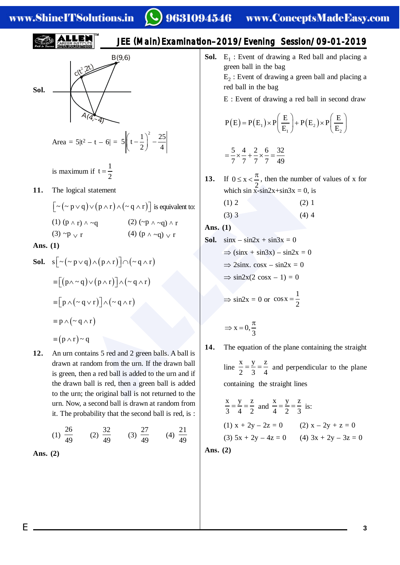## www.ShineITSolutions.in

**Sol.**

\nSol.

\n
$$
\sqrt{4(4,-4)}
$$
\nArea =  $5|t^2 - t - 6| = 5\left(t - \frac{1}{2}\right)^2 - \frac{25}{4}$ 

\nis maximum if  $t = \frac{1}{2}$ 

\n**11.** The logical statement

\n
$$
\left[\frac{1}{2} + \frac{1}{2} + \frac{1}{2}\right] = \frac{1}{2}
$$
\n12. The logical statement

\n
$$
\left[\frac{1}{2} + \frac{1}{2}\right] = \frac{1}{2}
$$

$$
\lfloor \sim (\sim p \lor q) \lor (p \land r) \land (\sim q \land r) \rfloor
$$
 is equivalent to:  
(1)  $(p \land r) \land \sim q$   
(2)  $(\sim p \land \sim q) \land r$   
(3)  $\sim p \lor r$   
(4)  $(p \land \sim q) \lor r$ 

**Ans. (1)**

**Sol.** 
$$
s[-(-p \lor q) \land (p \land r)] \land (-q \land r)
$$
  
\n
$$
\equiv [(p \land \sim q) \lor (p \land r)] \land (\sim q \land r)
$$
\n
$$
\equiv [p \land (\sim q \lor r)] \land (\sim q \land r)
$$
\n
$$
\equiv p \land (\sim q \land r)
$$
\n
$$
\equiv (p \land r) \sim q
$$

**12.** An urn contains 5 red and 2 green balls. A ball is drawn at random from the urn. If the drawn ball is green, then a red ball is added to the urn and if the drawn ball is red, then a green ball is added to the urn; the original ball is not returned to the urn. Now, a second ball is drawn at random from it. The probability that the second ball is red, is :

(1) 
$$
\frac{26}{49}
$$
 (2)  $\frac{32}{49}$  (3)  $\frac{27}{49}$  (4)  $\frac{21}{49}$ 

**Ans. (2)**

JEE (Main ) Examination–2019/Evening Session/09-01-2019

```
Sol.
        E
1
 : Event of drawing a Red ball and placing a
        green ball in the bag E_2: Event of drawing a green ball and placing a
        red ball in the bag
        E : Event of drawing a red ball in second draw
           (E) = P(E_1) \times P \frac{E}{E} + P(E_2) \times P1 \sqrt{L_2}P(E) = P(E_1) \times P\left(\frac{E}{E}\right) + P(E_2) \times P\left(\frac{E}{E}\right)E_1 E_2 E_3= P(E_1) \times P\left(\frac{E}{E_1}\right) + P(E_2) \times P\left(\frac{E}{E_2}\right)
```

$$
=\frac{5}{7} \times \frac{4}{7} + \frac{2}{7} \times \frac{6}{7} = \frac{32}{49}
$$

- 13. If  $0 \le x < \frac{\pi}{2}$ , then the number of values of x for which  $\sin x - \sin 2x + \sin 3x = 0$ , is
	- $(1) 2$  (2) 1  $(3)$  3 (4) 4

$$
Ans. (1)
$$

al statement  
\nq) ∨ (p ∧ r) ∧ (~ q ∧ r)] is equivalent to:  
\n(1) 2 (2) 1  
\n(3) 3 (4) 4  
\n(4) (p ∧ ~q) ∨ r  
\n(5) √ (p ∧ r)] ∩ (~ q ∧ r)  
\n(6) √ (p ∧ r)] ∩ (~ q ∧ r)  
\n(7) √ (p ∧ r)] ∩ (~ q ∧ r)  
\n(8) 1. sinx – sin2x + sin3x = 0  
\n⇒ (sinx + sin3x) – sin2x = 0  
\n⇒ sin2x(2 cosx – 1) = 0  
\n⇒ sin2x(2 cosx – 1) = 0  
\n⇒ sin2x = 0 or cosx = 
$$
\frac{1}{2}
$$
  
\n[4, The equation of the plane contain  
\nrandom from the urn. If the drawn ball  
\nthen a red ball is added to the urn and if  
\n1 ball is red, then a green ball is added  
\nand an ball is not returned to the  
\n $\frac{x}{2} = \frac{y}{3} = \frac{z}{4}$  and perpendicular  
\ncontaining the straight lines  
\n $\frac{x}{2} = \frac{y}{3} = \frac{z}{4}$  and perpendicular  
\n $\frac{z}{2} = \frac{y}{3} = \frac{z}{4}$  and perpendicular  
\n $\frac{z}{2} = \frac{y}{3} = \frac{z}{4}$ 

**14.** The equation of the plane containing the straight line x y z  $\frac{\lambda}{2} = \frac{y}{3} = \frac{z}{4}$  and perpendicular to the plane containing the straight lines

$$
\frac{x}{3} = \frac{y}{4} = \frac{z}{2} \text{ and } \frac{x}{4} = \frac{y}{2} = \frac{z}{3} \text{ is:}
$$
  
(1)  $x + 2y - 2z = 0$  (2)  $x - 2y + z = 0$   
(3)  $5x + 2y - 4z = 0$  (4)  $3x + 2y - 3z = 0$ 

**Ans. (2)**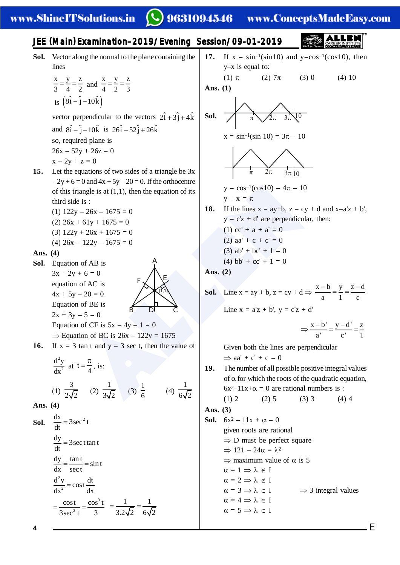### www.ShineITSolutions.in

## 9631094546 www.ConceptsMadeEasy.com

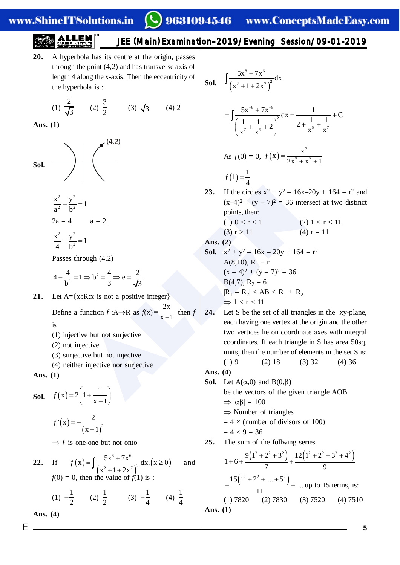### www.ShineITSolutions.in

# 9631094546 www.ConceptsMadeEasy.com

## JEE (Main ) Examination–2019/Evening Session/09-01-2019

**20.** A hyperbola has its centre at the origin, passes through the point (4,2) and has transverse axis of length 4 along the x-axis. Then the eccentricity of the hyperbola is :

(1) 
$$
\frac{2}{\sqrt{3}}
$$
 (2)  $\frac{3}{2}$  (3)  $\sqrt{3}$  (4) 2

**Ans. (1)**



$$
\frac{x^2}{a^2} - \frac{y^2}{b^2} = 1
$$
  
2a = 4   
a = 2  

$$
\frac{x^2}{4} - \frac{y^2}{b^2} = 1
$$

Passes through (4,2)

$$
4 - \frac{4}{b^2} = 1 \Longrightarrow b^2 = \frac{4}{3} \Longrightarrow e = \frac{2}{\sqrt{3}}
$$

21. Let  $A = \{x \in R : x \text{ is not a positive integer}\}\$ 

Define a function  $f : A \rightarrow R$  as  $f(x)$  $2x$  $x - 1$  $=$  $\frac{m}{-1}$  then f is

- (1) injective but not surjective
- (2) not injective
- (3) surjective but not injective
- (4) neither injective nor surjective

**Ans. (1)**

**Sol.**  $f(x) = 2\left(1 + \frac{1}{x}\right)$  $x - 1$  $=2\left(1+\frac{1}{x-1}\right)$  $(x) =$  $(x-1)^2$  $f'(x) = -\frac{2}{x^2}$  $x - 1$  $=-$ - $\Rightarrow$  f is one-one but not onto **22.** If  $f(x) =$  $(x^{2}+1+2x^{2})$  $(x \geq 0)$  $8, 7.6$  $f(x) = \int \frac{5x^8 + 7x^6}{(x^2 + 1 + 2x^7)^2} dx, (x \ge 0)$  $f(x) = \int \frac{3x^2 + 7x}{(x^2 + 1 + 2x^7)^2} dx, (x \ge 0)$  and  $f(0) = 0$ , then the value of  $f(1)$  is : (1)  $-\frac{1}{2}$  (2)  $\frac{1}{2}$  (3)  $-\frac{1}{4}$  (4)  $\frac{1}{4}$ **Ans. (4)**

**Sol.** 
$$
\int \frac{5x^8 + 7x^6}{(x^2 + 1 + 2x^7)^2} dx
$$
  
\n
$$
= \int \frac{5x^{-6} + 7x^{-8}}{(\frac{1}{x^7} + \frac{1}{x^5} + 2)^2} dx = \frac{1}{2 + \frac{1}{x^5} + \frac{1}{x^7}} + C
$$
  
\nAs  $f(0) = 0$ ,  $f(x) = \frac{x^7}{2x^7 + x^2 + 1}$   
\n $f(1) = \frac{1}{4}$   
\n**23.** If the circles  $x^2 + y^2 - 16x - 20y + 164 = r^2$  and  $(x-4)^2 + (y-7)^2 = 36$  intersect at two distinct points, then:  
\n $(1) 0 < r < 1$   
\n $(3) r > 11$   
\n**24.**  $(2) 1 < r < 11$   
\n $(3) r > 11$   
\n**25.**  $(1) 1 < r < 11$   
\n**26.**  $(1) 1 < r < 11$   
\n**27.**  $(1) 1 < r < 11$   
\n**28.**  $(1) 1 < r < 11$   
\n**29.**  $(1) < r < 11$   
\n**20.**  $(1) < r < 11$   
\n**21.**  $(1) r = 11$ 

**Ans. (2)**

- **Sol.**  $x^2 + y^2 16x 20y + 164 = r^2$ A(8,10),  $R_1 = r$  $(x-4)^2 + (y-7)^2 = 36$  $B(4,7), R_2 = 6$  $|R_1 - R_2| < AB < R_1 + R_2$  $\Rightarrow$  1 < r < 11
- =1<br>
a = 2<br>
a = 2<br>
a = 2<br>
<br>
(x-4)<sup>2</sup> + (y 7)<sup>2</sup> = 36 intersect<br>
points, then:<br>
(1) 0 < r < 1<br>
(3) r > 11<br>
(4) r = 3<br>
<br>
(3) r > 11<br>
(4) r = 3<br>
<br>
Ans. (2)<br>
<br>
80. x<sup>2</sup> + y<sup>2</sup> 16x 20y + 164 = r<sup>2</sup><br>
A(8,10), R<sub>1</sub> = r<br>
A **24.** Let S be the set of all triangles in the xy-plane, each having one vertex at the origin and the other two vertices lie on coordinate axes with integral coordinates. If each triangle in S has area 50sq. units, then the number of elements in the set S is:  $(1) 9$   $(2) 18$   $(3) 32$   $(4) 36$

#### **Ans. (4)**

- **Sol.** Let  $A(\alpha,0)$  and  $B(0,\beta)$ be the vectors of the given triangle AOB  $\Rightarrow |\alpha\beta| = 100$  $\Rightarrow$  Number of triangles  $= 4 \times$  (number of divisors of 100)  $= 4 \times 9 = 36$
- **25.** The sum of the follwing series

$$
1+6+\frac{9(1^2+2^2+3^2)}{7}+\frac{12(1^2+2^2+3^2+4^2)}{9} + \frac{15(1^2+2^2+\dots+5^2)}{11} + \dots
$$
up to 15 terms, is:  
(1) 7820 (2) 7830 (3) 7520 (4) 7510  
**Ans.** (1)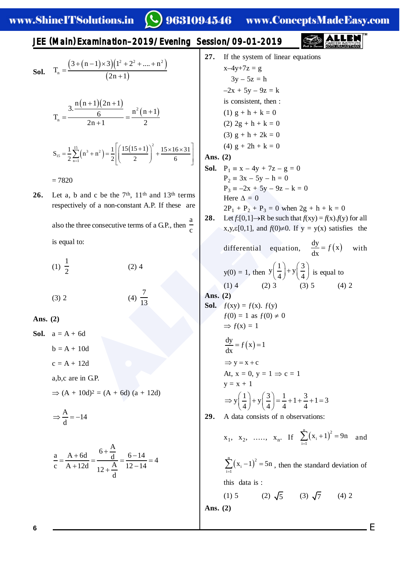9631094546 www.ConceptsMadeEasy.com

JEE (Main ) Examination–2019/Evening Session/09-01-2019

**Sol.** 
$$
T_n = \frac{(3 + (n-1) \times 3)(1^2 + 2^2 + .... + n^2)}{(2n + 1)}
$$

$$
T_n = \frac{3 \cdot \frac{n(n+1)(2n+1)}{6}}{2n+1} = \frac{n^2(n+1)}{2}
$$

$$
S_{15} = \frac{1}{2} \sum_{n=1}^{15} (n^3 + n^2) = \frac{1}{2} \left[ \left( \frac{15(15+1)}{2} \right)^2 + \frac{15 \times 16 \times 31}{6} \right]
$$
  
= 7820

**26.** Let a, b and c be the 7<sup>th</sup>, 11<sup>th</sup> and 13<sup>th</sup> terms respectively of a non-constant A.P. If these are also the three consecutive terms of a GP, then 
$$
\frac{a}{c}
$$
 is equal to:

$$
(1) \ \frac{1}{2} \tag{2) 4}
$$

$$
(3) 2 \t\t (4) \frac{7}{13}
$$

**Ans. (2)**

**Sol.**  $a = A + 6d$  $b = A + 10d$  $c = A + 12d$ a,b,c are in G.P.

 $\Rightarrow$  (A + 10d)<sup>2</sup> = (A + 6d) (a + 12d)

$$
\Rightarrow \frac{A}{d} = -14
$$

$$
\frac{a}{c} = \frac{A + 6d}{A + 12d} = \frac{6 + \frac{A}{d}}{12 + \frac{A}{d}} = \frac{6 - 14}{12 - 14} = 4
$$

and c be the 7<sup>th</sup>, 11<sup>th</sup> and 13<sup>th</sup> terms<br>
ely of a non-constant A.P. If these are<br>
there  $\Delta = 0$ <br>
Here  $\Delta = 0$ <br>
Here  $\Delta = 0$ <br>
Here  $\Delta = 0$ <br>  $2P_1 + P_2 + P_3 = 0$  when  $2g + h$ <br>
o:<br>  $x, y, z[0,1],$  and  $f(0) \ne 0$ . If  $y = y(x)$ <br>
o: **27.** If the system of linear equations  $x-4y+7z = g$  $3y - 5z = h$  $-2x + 5y - 9z = k$ is consistent, then : (1)  $g + h + k = 0$ (2)  $2g + h + k = 0$ (3)  $g + h + 2k = 0$ (4)  $g + 2h + k = 0$ **Ans. (2) Sol.**  $P_1 \equiv x - 4y + 7z - g = 0$  $P_2 = 3x - 5y - h = 0$  $P_3 = -2x + 5y - 9z - k = 0$ Here  $\Delta = 0$  $2P_1 + P_2 + P_3 = 0$  when  $2g + h + k = 0$  $28.$  $f:[0,1] \to \mathbb{R}$  be such that  $f(xy) = f(x) \cdot f(y)$  for all x,y, $\varepsilon$ [0,1], and  $f(0) \ne 0$ . If  $y = y(x)$  satisfies the differential equation,  $\frac{dy}{dx} = f(x)$  $f(x)$  with  $y(0) = 1$ , then  $y\left(\frac{1}{x}\right) + y\left(\frac{3}{x}\right)$  $\left(\frac{1}{4}\right) + y \left(\frac{3}{4}\right)$  is equal to (1) 4 (2) 3 (3) 5 (4) 2 **Ans. (2) Sol.**  $f(xy) = f(x)$ .  $f(y)$  $f(0) = 1$  as  $f(0) \neq 0$  $\Rightarrow$   $f(x) = 1$  $\frac{dy}{dx} = f(x) = 1$  $=$  $\Rightarrow$  y = x + c At,  $x = 0$ ,  $y = 1 \Rightarrow c = 1$  $y = x + 1$  $y\left(\frac{1}{2}\right) + y\left(\frac{3}{2}\right) = \frac{1}{2} + 1 + \frac{3}{2} + 1 = 3$  $\Rightarrow y\left(\frac{1}{4}\right) + y\left(\frac{3}{4}\right) = \frac{1}{4} + 1 + \frac{3}{4} + 1 =$ **29.** A data consists of n observations:  $x_1, x_2, \ldots, x_n$ . If  $\sum_{i=1}^{n} (x_i + 1)^2$  $\sum_{i=1}^{\infty}$ <sup>( $\Lambda_i$ </sup>  $\sum_{i=1}^{n} (x_i + 1)^2 = 9n$  and

 $\sum_{i=1}^{n} (x_i - 1)^2$  $\sum_{i=1}^{\infty}$ <sup> $\binom{N_i}{i}$ </sup>  $\sum_{i=1}^{n} (x_i - 1)^2 = 5n$ , then the standard deviation of this data is :

(1) 5 (2) 
$$
\sqrt{5}
$$
 (3)  $\sqrt{7}$  (4) 2  
Ans. (2)

**6**